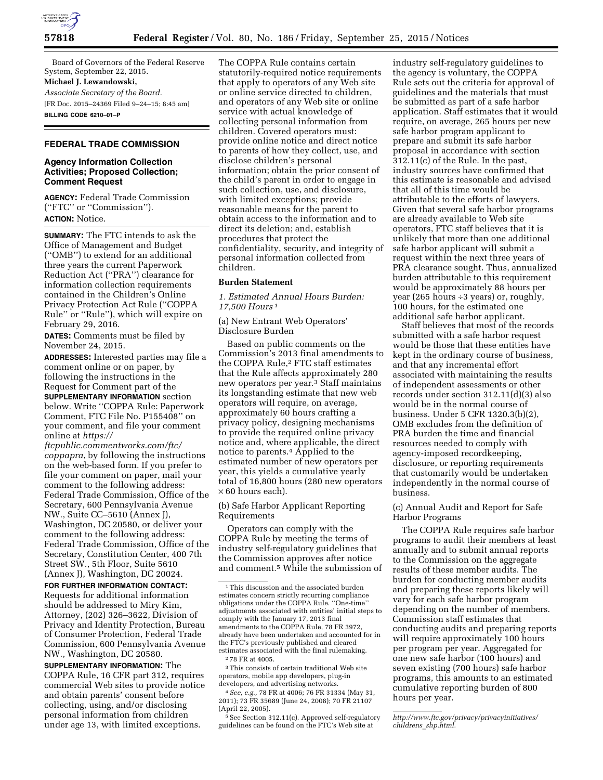

Board of Governors of the Federal Reserve System, September 22, 2015. **Michael J. Lewandowski,** 

*Associate Secretary of the Board.*  [FR Doc. 2015–24369 Filed 9–24–15; 8:45 am] **BILLING CODE 6210–01–P** 

## **FEDERAL TRADE COMMISSION**

## **Agency Information Collection Activities; Proposed Collection; Comment Request**

**AGENCY:** Federal Trade Commission (''FTC'' or ''Commission''). **ACTION:** Notice.

**SUMMARY:** The FTC intends to ask the Office of Management and Budget (''OMB'') to extend for an additional three years the current Paperwork Reduction Act (''PRA'') clearance for information collection requirements contained in the Children's Online Privacy Protection Act Rule (''COPPA Rule'' or ''Rule''), which will expire on February 29, 2016.

**DATES:** Comments must be filed by November 24, 2015.

**ADDRESSES:** Interested parties may file a comment online or on paper, by following the instructions in the Request for Comment part of the **SUPPLEMENTARY INFORMATION** section below. Write ''COPPA Rule: Paperwork Comment, FTC File No. P155408'' on your comment, and file your comment online at *https://* 

*ftcpublic.commentworks.com/ftc/ coppapra*, by following the instructions on the web-based form. If you prefer to file your comment on paper, mail your comment to the following address: Federal Trade Commission, Office of the Secretary, 600 Pennsylvania Avenue NW., Suite CC–5610 (Annex J), Washington, DC 20580, or deliver your comment to the following address: Federal Trade Commission, Office of the Secretary, Constitution Center, 400 7th Street SW., 5th Floor, Suite 5610 (Annex J), Washington, DC 20024.

**FOR FURTHER INFORMATION CONTACT:**  Requests for additional information should be addressed to Miry Kim, Attorney, (202) 326–3622, Division of Privacy and Identity Protection, Bureau of Consumer Protection, Federal Trade Commission, 600 Pennsylvania Avenue NW., Washington, DC 20580.

**SUPPLEMENTARY INFORMATION:** The COPPA Rule, 16 CFR part 312, requires commercial Web sites to provide notice and obtain parents' consent before collecting, using, and/or disclosing personal information from children under age 13, with limited exceptions.

The COPPA Rule contains certain statutorily-required notice requirements that apply to operators of any Web site or online service directed to children, and operators of any Web site or online service with actual knowledge of collecting personal information from children. Covered operators must: provide online notice and direct notice to parents of how they collect, use, and disclose children's personal information; obtain the prior consent of the child's parent in order to engage in such collection, use, and disclosure, with limited exceptions; provide reasonable means for the parent to obtain access to the information and to direct its deletion; and, establish procedures that protect the confidentiality, security, and integrity of personal information collected from children.

#### **Burden Statement**

*1. Estimated Annual Hours Burden: 17,500 Hours 1*

(a) New Entrant Web Operators' Disclosure Burden

Based on public comments on the Commission's 2013 final amendments to the COPPA Rule,2 FTC staff estimates that the Rule affects approximately 280 new operators per year.3 Staff maintains its longstanding estimate that new web operators will require, on average, approximately 60 hours crafting a privacy policy, designing mechanisms to provide the required online privacy notice and, where applicable, the direct notice to parents.4 Applied to the estimated number of new operators per year, this yields a cumulative yearly total of 16,800 hours (280 new operators  $\times$  60 hours each).

(b) Safe Harbor Applicant Reporting Requirements

Operators can comply with the COPPA Rule by meeting the terms of industry self-regulatory guidelines that the Commission approves after notice and comment.5 While the submission of

3This consists of certain traditional Web site operators, mobile app developers, plug-in developers, and advertising networks.

4*See, e.g.,* 78 FR at 4006; 76 FR 31334 (May 31, 2011); 73 FR 35689 (June 24, 2008); 70 FR 21107 (April 22, 2005).

5See Section 312.11(c). Approved self-regulatory guidelines can be found on the FTC's Web site at

industry self-regulatory guidelines to the agency is voluntary, the COPPA Rule sets out the criteria for approval of guidelines and the materials that must be submitted as part of a safe harbor application. Staff estimates that it would require, on average, 265 hours per new safe harbor program applicant to prepare and submit its safe harbor proposal in accordance with section 312.11(c) of the Rule. In the past, industry sources have confirmed that this estimate is reasonable and advised that all of this time would be attributable to the efforts of lawyers. Given that several safe harbor programs are already available to Web site operators, FTC staff believes that it is unlikely that more than one additional safe harbor applicant will submit a request within the next three years of PRA clearance sought. Thus, annualized burden attributable to this requirement would be approximately 88 hours per year (265 hours ÷3 years) or, roughly, 100 hours, for the estimated one additional safe harbor applicant.

Staff believes that most of the records submitted with a safe harbor request would be those that these entities have kept in the ordinary course of business, and that any incremental effort associated with maintaining the results of independent assessments or other records under section 312.11(d)(3) also would be in the normal course of business. Under 5 CFR 1320.3(b)(2), OMB excludes from the definition of PRA burden the time and financial resources needed to comply with agency-imposed recordkeeping, disclosure, or reporting requirements that customarily would be undertaken independently in the normal course of business.

## (c) Annual Audit and Report for Safe Harbor Programs

The COPPA Rule requires safe harbor programs to audit their members at least annually and to submit annual reports to the Commission on the aggregate results of these member audits. The burden for conducting member audits and preparing these reports likely will vary for each safe harbor program depending on the number of members. Commission staff estimates that conducting audits and preparing reports will require approximately 100 hours per program per year. Aggregated for one new safe harbor (100 hours) and seven existing (700 hours) safe harbor programs, this amounts to an estimated cumulative reporting burden of 800 hours per year.

<sup>1</sup>This discussion and the associated burden estimates concern strictly recurring compliance obligations under the COPPA Rule. ''One-time'' adjustments associated with entities' initial steps to comply with the January 17, 2013 final amendments to the COPPA Rule, 78 FR 3972, already have been undertaken and accounted for in the FTC's previously published and cleared estimates associated with the final rulemaking. 2 78 FR at 4005.

*http://www.ftc.gov/privacy/privacyinitiatives/ childrens*\_*shp.html*.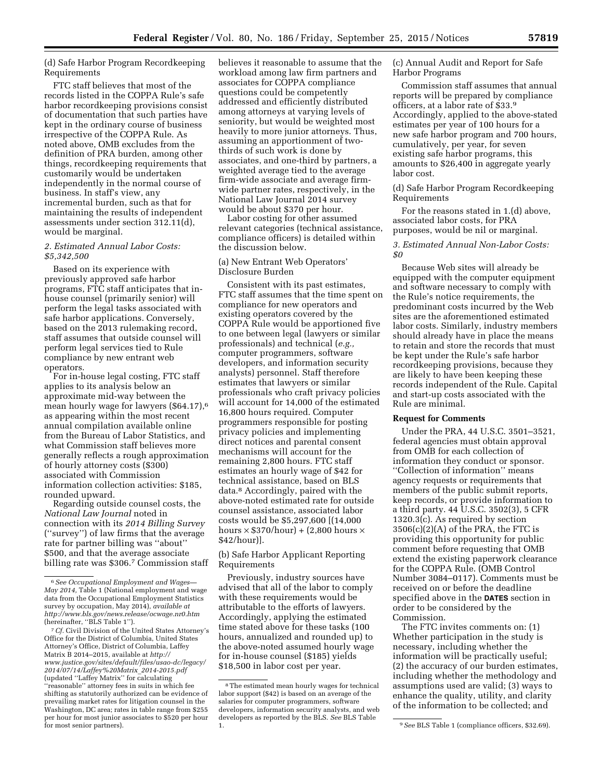(d) Safe Harbor Program Recordkeeping Requirements

FTC staff believes that most of the records listed in the COPPA Rule's safe harbor recordkeeping provisions consist of documentation that such parties have kept in the ordinary course of business irrespective of the COPPA Rule. As noted above, OMB excludes from the definition of PRA burden, among other things, recordkeeping requirements that customarily would be undertaken independently in the normal course of business. In staff's view, any incremental burden, such as that for maintaining the results of independent assessments under section 312.11(d), would be marginal.

### *2. Estimated Annual Labor Costs: \$5,342,500*

Based on its experience with previously approved safe harbor programs, FTC staff anticipates that inhouse counsel (primarily senior) will perform the legal tasks associated with safe harbor applications. Conversely, based on the 2013 rulemaking record, staff assumes that outside counsel will perform legal services tied to Rule compliance by new entrant web operators.

For in-house legal costing, FTC staff applies to its analysis below an approximate mid-way between the mean hourly wage for lawyers (\$64.17),6 as appearing within the most recent annual compilation available online from the Bureau of Labor Statistics, and what Commission staff believes more generally reflects a rough approximation of hourly attorney costs (\$300) associated with Commission information collection activities: \$185, rounded upward.

Regarding outside counsel costs, the *National Law Journal* noted in connection with its *2014 Billing Survey*  (''survey'') of law firms that the average rate for partner billing was ''about'' \$500, and that the average associate billing rate was \$306.7 Commission staff

7*Cf.* Civil Division of the United States Attorney's Office for the District of Columbia, United States Attorney's Office, District of Columbia, Laffey Matrix B 2014–2015, available at *http:// www.justice.gov/sites/default/files/usao-dc/legacy/ 2014/07/14/Laffey%20Matrix*\_*2014-2015.pdf*  (updated ''Laffey Matrix'' for calculating 'reasonable" attorney fees in suits in which fee shifting as statutorily authorized can be evidence of prevailing market rates for litigation counsel in the Washington, DC area; rates in table range from \$255 per hour for most junior associates to \$520 per hour for most senior partners).

believes it reasonable to assume that the workload among law firm partners and associates for COPPA compliance questions could be competently addressed and efficiently distributed among attorneys at varying levels of seniority, but would be weighted most heavily to more junior attorneys. Thus, assuming an apportionment of twothirds of such work is done by associates, and one-third by partners, a weighted average tied to the average firm-wide associate and average firmwide partner rates, respectively, in the National Law Journal 2014 survey would be about \$370 per hour.

Labor costing for other assumed relevant categories (technical assistance, compliance officers) is detailed within the discussion below.

### (a) New Entrant Web Operators' Disclosure Burden

Consistent with its past estimates, FTC staff assumes that the time spent on compliance for new operators and existing operators covered by the COPPA Rule would be apportioned five to one between legal (lawyers or similar professionals) and technical (*e.g.,*  computer programmers, software developers, and information security analysts) personnel. Staff therefore estimates that lawyers or similar professionals who craft privacy policies will account for 14,000 of the estimated 16,800 hours required. Computer programmers responsible for posting privacy policies and implementing direct notices and parental consent mechanisms will account for the remaining 2,800 hours. FTC staff estimates an hourly wage of \$42 for technical assistance, based on BLS data.8 Accordingly, paired with the above-noted estimated rate for outside counsel assistance, associated labor costs would be \$5,297,600 [(14,000 hours  $\times$  \$370/hour) + (2,800 hours  $\times$ \$42/hour)].

(b) Safe Harbor Applicant Reporting Requirements

Previously, industry sources have advised that all of the labor to comply with these requirements would be attributable to the efforts of lawyers. Accordingly, applying the estimated time stated above for these tasks (100 hours, annualized and rounded up) to the above-noted assumed hourly wage for in-house counsel (\$185) yields \$18,500 in labor cost per year.

(c) Annual Audit and Report for Safe Harbor Programs

Commission staff assumes that annual reports will be prepared by compliance officers, at a labor rate of \$33.9 Accordingly, applied to the above-stated estimates per year of 100 hours for a new safe harbor program and 700 hours, cumulatively, per year, for seven existing safe harbor programs, this amounts to \$26,400 in aggregate yearly labor cost.

(d) Safe Harbor Program Recordkeeping Requirements

For the reasons stated in 1.(d) above, associated labor costs, for PRA purposes, would be nil or marginal.

### *3. Estimated Annual Non-Labor Costs: \$0*

Because Web sites will already be equipped with the computer equipment and software necessary to comply with the Rule's notice requirements, the predominant costs incurred by the Web sites are the aforementioned estimated labor costs. Similarly, industry members should already have in place the means to retain and store the records that must be kept under the Rule's safe harbor recordkeeping provisions, because they are likely to have been keeping these records independent of the Rule. Capital and start-up costs associated with the Rule are minimal.

#### **Request for Comments**

Under the PRA, 44 U.S.C. 3501–3521, federal agencies must obtain approval from OMB for each collection of information they conduct or sponsor. ''Collection of information'' means agency requests or requirements that members of the public submit reports, keep records, or provide information to a third party. 44 U.S.C. 3502(3), 5 CFR 1320.3(c). As required by section  $3506(c)(2)(A)$  of the PRA, the FTC is providing this opportunity for public comment before requesting that OMB extend the existing paperwork clearance for the COPPA Rule. (OMB Control Number 3084–0117). Comments must be received on or before the deadline specified above in the **DATES** section in order to be considered by the Commission.

The FTC invites comments on: (1) Whether participation in the study is necessary, including whether the information will be practically useful; (2) the accuracy of our burden estimates, including whether the methodology and assumptions used are valid; (3) ways to enhance the quality, utility, and clarity of the information to be collected; and

<sup>6</sup>*See Occupational Employment and Wages— May 2014,* Table 1 (National employment and wage data from the Occupational Employment Statistics survey by occupation, May 2014), *available at http://www.bls.gov/news.release/ocwage.nr0.htm*  (hereinafter, ''BLS Table 1'').

<sup>8</sup>The estimated mean hourly wages for technical labor support (\$42) is based on an average of the salaries for computer programmers, software developers, information security analysts, and web developers as reported by the BLS. *See* BLS Table 1. 9*See* BLS Table 1 (compliance officers, \$32.69).